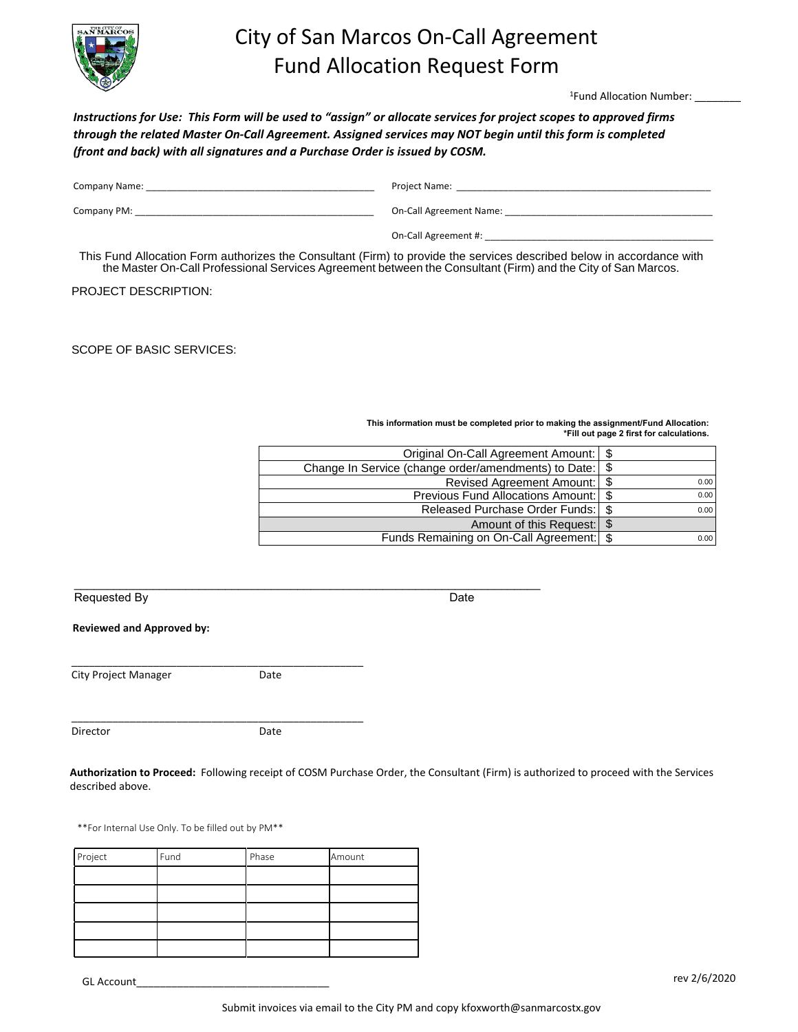

## City of San Marcos On-Call Agreement Fund Allocation Request Form

<sup>1</sup>Fund Allocation Number:

*Instructions for Use: This Form will be used to "assign" or allocate services for project scopes to approved firms through the related Master On-Call Agreement. Assigned services may NOT begin until this form is completed (front and back) with all signatures and a Purchase Order is issued by COSM.* 

| Company Name: | Project Name:           |
|---------------|-------------------------|
| Company PM:   | On-Call Agreement Name: |
|               | On-Call Agreement #:    |

This Fund Allocation Form authorizes the Consultant (Firm) to provide the services described below in accordance with the Master On-Call Professional Services Agreement between the Consultant (Firm) and the City of San Marcos.

PROJECT DESCRIPTION:

SCOPE OF BASIC SERVICES:

**This information must be completed prior to making the assignment/Fund Allocation: \*Fill out page 2 first for calculations.**

| Original On-Call Agreement Amount:   \$                   |      |
|-----------------------------------------------------------|------|
| Change In Service (change order/amendments) to Date:   \$ |      |
| Revised Agreement Amount:   \$                            | 0.00 |
| Previous Fund Allocations Amount: S                       | 0.00 |
| Released Purchase Order Funds:   \$                       | 0.00 |
|                                                           |      |
| Funds Remaining on On-Call Agreement:   \$                | 0.00 |

Requested By Date Controllers and the Date Controllers and Date Date

 $\_$  . The contribution of the contribution of the contribution of the contribution of  $\mathcal{L}_1$ 

| <b>Reviewed and Approved by:</b> |  |
|----------------------------------|--|
|----------------------------------|--|

City Project Manager Date

\_\_\_\_\_\_\_\_\_\_\_\_\_\_\_\_\_\_\_\_\_\_\_\_\_\_\_\_\_\_\_\_\_\_\_\_\_\_\_\_\_\_\_\_\_\_\_\_\_\_

\_\_\_\_\_\_\_\_\_\_\_\_\_\_\_\_\_\_\_\_\_\_\_\_\_\_\_\_\_\_\_\_\_\_\_\_\_\_\_\_\_\_\_\_\_\_\_\_\_\_

Director Date

**Authorization to Proceed:** Following receipt of COSM Purchase Order, the Consultant (Firm) is authorized to proceed with the Services described above.

\*\*For Internal Use Only. To be filled out by PM\*\*

| Project | Fund | Phase | Amount |
|---------|------|-------|--------|
|         |      |       |        |
|         |      |       |        |
|         |      |       |        |
|         |      |       |        |
|         |      |       |        |

GL Account\_\_\_\_\_\_\_\_\_\_\_\_\_\_\_\_\_\_\_\_\_\_\_\_\_\_\_\_\_\_\_\_\_ rev 2/6/2020